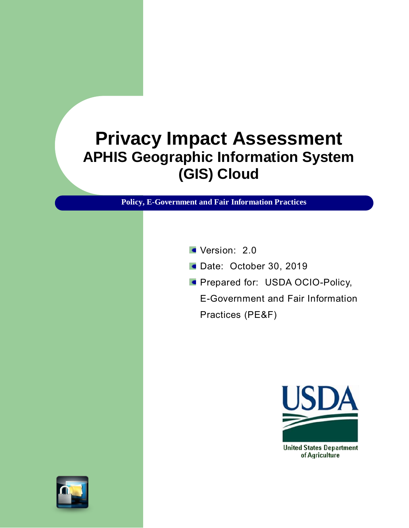## **Privacy Impact Assessment APHIS Geographic Information System (GIS) Cloud**

**Policy, E-Government and Fair Information Practices**

- Version: 2.0
- Date: October 30, 2019
- **Prepared for: USDA OCIO-Policy,**

E-Government and Fair Information Practices (PE&F)



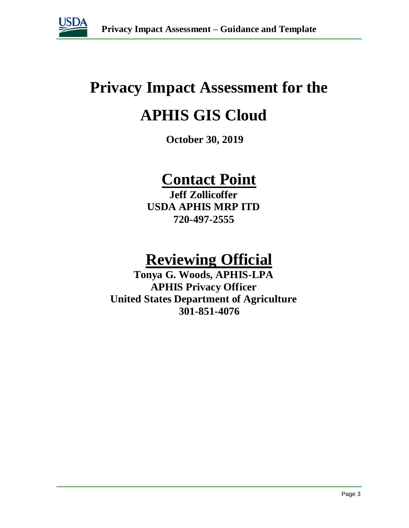

# **Privacy Impact Assessment for the**

## **APHIS GIS Cloud**

**October 30, 2019**

## **Contact Point**

**Jeff Zollicoffer USDA APHIS MRP ITD 720-497-2555**

## **Reviewing Official**

**Tonya G. Woods, APHIS-LPA APHIS Privacy Officer United States Department of Agriculture 301-851-4076**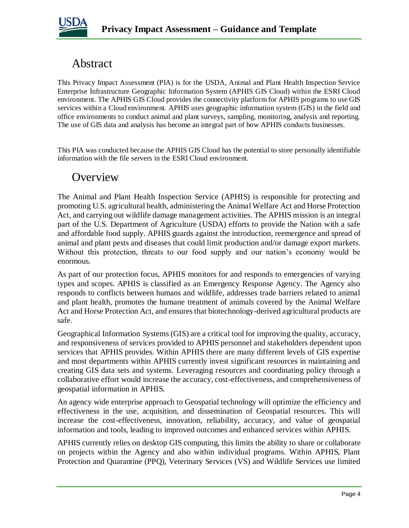

## Abstract

This Privacy Impact Assessment (PIA) is for the USDA, Animal and Plant Health Inspection Service Enterprise Infrastructure Geographic Information System (APHIS GIS Cloud) within the ESRI Cloud environment. The APHIS GIS Cloud provides the connectivity platform for APHIS programs to use GIS services within a Cloud environment. APHIS uses geographic information system (GIS) in the field and office environments to conduct animal and plant surveys, sampling, monitoring, analysis and reporting. The use of GIS data and analysis has become an integral part of how APHIS conducts businesses.

This PIA was conducted because the APHIS GIS Cloud has the potential to store personally identifiable information with the file servers in the ESRI Cloud environment.

### **Overview**

The Animal and Plant Health Inspection Service (APHIS) is responsible for protecting and promoting U.S. agricultural health, administering the Animal Welfare Act and Horse Protection Act, and carrying out wildlife damage management activities. The APHIS mission is an integral part of the U.S. Department of Agriculture (USDA) efforts to provide the Nation with a safe and affordable food supply. APHIS guards against the introduction, reemergence and spread of animal and plant pests and diseases that could limit production and/or damage export markets. Without this protection, threats to our food supply and our nation's economy would be enormous.

As part of our protection focus, APHIS monitors for and responds to emergencies of varying types and scopes. APHIS is classified as an Emergency Response Agency. The Agency also responds to conflicts between humans and wildlife, addresses trade barriers related to animal and plant health, promotes the humane treatment of animals covered by the Animal Welfare Act and Horse Protection Act, and ensures that biotechnology-derived agricultural products are safe.

Geographical Information Systems (GIS) are a critical tool for improving the quality, accuracy, and responsiveness of services provided to APHIS personnel and stakeholders dependent upon services that APHIS provides. Within APHIS there are many different levels of GIS expertise and most departments within APHIS currently invest significant resources in maintaining and creating GIS data sets and systems. Leveraging resources and coordinating policy through a collaborative effort would increase the accuracy, cost-effectiveness, and comprehensiveness of geospatial information in APHIS.

An agency wide enterprise approach to Geospatial technology will optimize the efficiency and effectiveness in the use, acquisition, and dissemination of Geospatial resources. This will increase the cost-effectiveness, innovation, reliability, accuracy, and value of geospatial information and tools, leading to improved outcomes and enhanced services within APHIS.

APHIS currently relies on desktop GIS computing, this limits the ability to share or collaborate on projects within the Agency and also within individual programs. Within APHIS, Plant Protection and Quarantine (PPQ), Veterinary Services (VS) and Wildlife Services use limited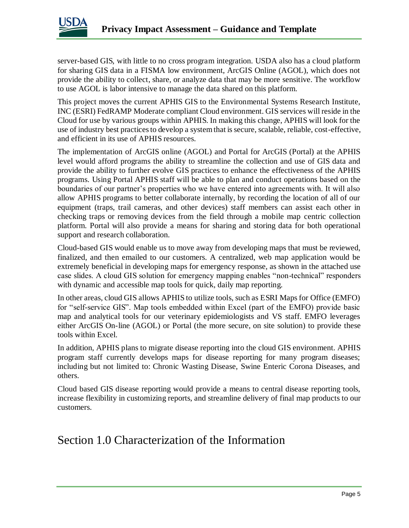

server-based GIS, with little to no cross program integration. USDA also has a cloud platform for sharing GIS data in a FISMA low environment, ArcGIS Online (AGOL), which does not provide the ability to collect, share, or analyze data that may be more sensitive. The workflow to use AGOL is labor intensive to manage the data shared on this platform.

This project moves the current APHIS GIS to the Environmental Systems Research Institute, INC (ESRI) FedRAMP Moderate compliant Cloud environment. GIS services will reside in the Cloud for use by various groups within APHIS. In making this change, APHIS will look for the use of industry best practices to develop a system that is secure, scalable, reliable, cost-effective, and efficient in its use of APHIS resources.

The implementation of ArcGIS online (AGOL) and Portal for ArcGIS (Portal) at the APHIS level would afford programs the ability to streamline the collection and use of GIS data and provide the ability to further evolve GIS practices to enhance the effectiveness of the APHIS programs. Using Portal APHIS staff will be able to plan and conduct operations based on the boundaries of our partner's properties who we have entered into agreements with. It will also allow APHIS programs to better collaborate internally, by recording the location of all of our equipment (traps, trail cameras, and other devices) staff members can assist each other in checking traps or removing devices from the field through a mobile map centric collection platform. Portal will also provide a means for sharing and storing data for both operational support and research collaboration.

Cloud-based GIS would enable us to move away from developing maps that must be reviewed, finalized, and then emailed to our customers. A centralized, web map application would be extremely beneficial in developing maps for emergency response, as shown in the attached use case slides. A cloud GIS solution for emergency mapping enables "non-technical" responders with dynamic and accessible map tools for quick, daily map reporting.

In other areas, cloud GIS allows APHIS to utilize tools, such as ESRI Maps for Office (EMFO) for "self-service GIS". Map tools embedded within Excel (part of the EMFO) provide basic map and analytical tools for our veterinary epidemiologists and VS staff. EMFO leverages either ArcGIS On-line (AGOL) or Portal (the more secure, on site solution) to provide these tools within Excel.

In addition, APHIS plans to migrate disease reporting into the cloud GIS environment. APHIS program staff currently develops maps for disease reporting for many program diseases; including but not limited to: Chronic Wasting Disease, Swine Enteric Corona Diseases, and others.

Cloud based GIS disease reporting would provide a means to central disease reporting tools, increase flexibility in customizing reports, and streamline delivery of final map products to our customers.

## Section 1.0 Characterization of the Information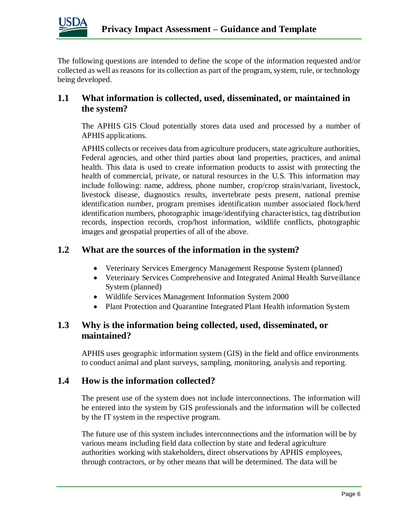

The following questions are intended to define the scope of the information requested and/or collected as well as reasons for its collection as part of the program, system, rule, or technology being developed.

#### **1.1 What information is collected, used, disseminated, or maintained in the system?**

The APHIS GIS Cloud potentially stores data used and processed by a number of APHIS applications.

APHIS collects or receives data from agriculture producers, state agriculture authorities, Federal agencies, and other third parties about land properties, practices, and animal health. This data is used to create information products to assist with protecting the health of commercial, private, or natural resources in the U.S. This information may include following: name, address, phone number, crop/crop strain/variant, livestock, livestock disease, diagnostics results, invertebrate pests present, national premise identification number, program premises identification number associated flock/herd identification numbers, photographic image/identifying characteristics, tag distribution records, inspection records, crop/host information, wildlife conflicts, photographic images and geospatial properties of all of the above.

#### **1.2 What are the sources of the information in the system?**

- Veterinary Services Emergency Management Response System (planned)
- Veterinary Services Comprehensive and Integrated Animal Health Surveillance System (planned)
- Wildlife Services Management Information System 2000
- Plant Protection and Quarantine Integrated Plant Health information System

#### **1.3 Why is the information being collected, used, disseminated, or maintained?**

APHIS uses geographic information system (GIS) in the field and office environments to conduct animal and plant surveys, sampling, monitoring, analysis and reporting.

#### **1.4 How is the information collected?**

The present use of the system does not include interconnections. The information will be entered into the system by GIS professionals and the information will be collected by the IT system in the respective program.

The future use of this system includes interconnections and the information will be by various means including field data collection by state and federal agriculture authorities working with stakeholders, direct observations by APHIS employees, through contractors, or by other means that will be determined. The data will be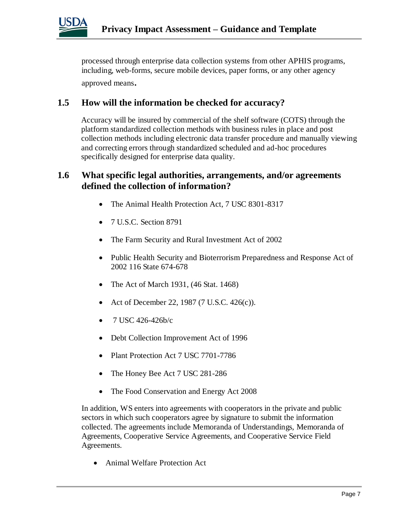

processed through enterprise data collection systems from other APHIS programs, including, web-forms, secure mobile devices, paper forms, or any other agency approved means.

#### **1.5 How will the information be checked for accuracy?**

Accuracy will be insured by commercial of the shelf software (COTS) through the platform standardized collection methods with business rules in place and post collection methods including electronic data transfer procedure and manually viewing and correcting errors through standardized scheduled and ad-hoc procedures specifically designed for enterprise data quality.

#### **1.6 What specific legal authorities, arrangements, and/or agreements defined the collection of information?**

- The Animal Health Protection Act, 7 USC 8301-8317
- 7 U.S.C. Section 8791
- The Farm Security and Rural Investment Act of 2002
- Public Health Security and Bioterrorism Preparedness and Response Act of 2002 116 State 674-678
- The Act of March 1931,  $(46 \text{ Stat. } 1468)$
- Act of December 22, 1987 (7 U.S.C. 426(c)).
- 7 USC 426-426b/c
- Debt Collection Improvement Act of 1996
- Plant Protection Act 7 USC 7701-7786
- The Honey Bee Act 7 USC 281-286
- The Food Conservation and Energy Act 2008

In addition, WS enters into agreements with cooperators in the private and public sectors in which such cooperators agree by signature to submit the information collected. The agreements include Memoranda of Understandings, Memoranda of Agreements, Cooperative Service Agreements, and Cooperative Service Field Agreements.

Animal Welfare Protection Act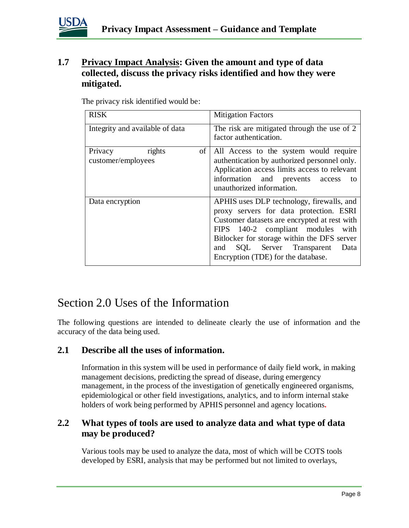

#### **1.7 Privacy Impact Analysis: Given the amount and type of data collected, discuss the privacy risks identified and how they were mitigated.**

| <b>RISK</b>                                   | <b>Mitigation Factors</b>                                                                                                                                                                                                                                                                                  |
|-----------------------------------------------|------------------------------------------------------------------------------------------------------------------------------------------------------------------------------------------------------------------------------------------------------------------------------------------------------------|
| Integrity and available of data               | The risk are mitigated through the use of 2<br>factor authentication.                                                                                                                                                                                                                                      |
| rights<br>of<br>Privacy<br>customer/employees | All Access to the system would require<br>authentication by authorized personnel only.<br>Application access limits access to relevant<br>information and prevents access<br>to<br>unauthorized information.                                                                                               |
| Data encryption                               | APHIS uses DLP technology, firewalls, and<br>proxy servers for data protection. ESRI<br>Customer datasets are encrypted at rest with<br>FIPS 140-2 compliant modules<br>with<br>Bitlocker for storage within the DFS server<br>SQL Server Transparent<br>and<br>Data<br>Encryption (TDE) for the database. |

The privacy risk identified would be:

### Section 2.0 Uses of the Information

The following questions are intended to delineate clearly the use of information and the accuracy of the data being used.

#### **2.1 Describe all the uses of information.**

Information in this system will be used in performance of daily field work, in making management decisions, predicting the spread of disease, during emergency management, in the process of the investigation of genetically engineered organisms, epidemiological or other field investigations, analytics, and to inform internal stake holders of work being performed by APHIS personnel and agency locations*.* 

#### **2.2 What types of tools are used to analyze data and what type of data may be produced?**

Various tools may be used to analyze the data, most of which will be COTS tools developed by ESRI, analysis that may be performed but not limited to overlays,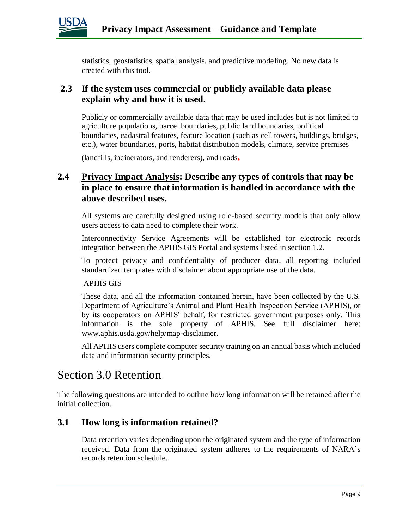

statistics, geostatistics, spatial analysis, and predictive modeling. No new data is created with this tool.

#### **2.3 If the system uses commercial or publicly available data please explain why and how it is used.**

Publicly or commercially available data that may be used includes but is not limited to agriculture populations, parcel boundaries, public land boundaries, political boundaries, cadastral features, feature location (such as cell towers, buildings, bridges, etc.), water boundaries, ports, habitat distribution models, climate, service premises

(landfills, incinerators, and renderers), and roads*.* 

#### **2.4 Privacy Impact Analysis: Describe any types of controls that may be in place to ensure that information is handled in accordance with the above described uses.**

All systems are carefully designed using role-based security models that only allow users access to data need to complete their work.

Interconnectivity Service Agreements will be established for electronic records integration between the APHIS GIS Portal and systems listed in section 1.2.

To protect privacy and confidentiality of producer data, all reporting included standardized templates with disclaimer about appropriate use of the data.

#### APHIS GIS

These data, and all the information contained herein, have been collected by the U.S. Department of Agriculture's Animal and Plant Health Inspection Service (APHIS), or by its cooperators on APHIS' behalf, for restricted government purposes only. This information is the sole property of APHIS. See full disclaimer here: www.aphis.usda.gov/help/map-disclaimer.

All APHIS users complete computer security training on an annual basis which included data and information security principles.

### Section 3.0 Retention

The following questions are intended to outline how long information will be retained after the initial collection.

#### **3.1 How long is information retained?**

Data retention varies depending upon the originated system and the type of information received. Data from the originated system adheres to the requirements of NARA's records retention schedule..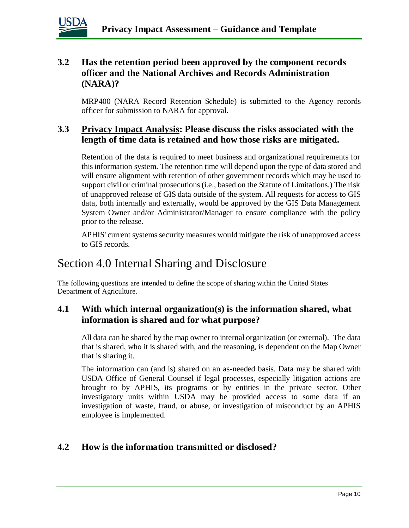

#### **3.2 Has the retention period been approved by the component records officer and the National Archives and Records Administration (NARA)?**

MRP400 (NARA Record Retention Schedule) is submitted to the Agency records officer for submission to NARA for approval*.*

#### **3.3 Privacy Impact Analysis: Please discuss the risks associated with the length of time data is retained and how those risks are mitigated.**

Retention of the data is required to meet business and organizational requirements for this information system. The retention time will depend upon the type of data stored and will ensure alignment with retention of other government records which may be used to support civil or criminal prosecutions (i.e., based on the Statute of Limitations.) The risk of unapproved release of GIS data outside of the system. All requests for access to GIS data, both internally and externally, would be approved by the GIS Data Management System Owner and/or Administrator/Manager to ensure compliance with the policy prior to the release.

APHIS' current systems security measures would mitigate the risk of unapproved access to GIS records.

## Section 4.0 Internal Sharing and Disclosure

The following questions are intended to define the scope of sharing within the United States Department of Agriculture.

#### **4.1 With which internal organization(s) is the information shared, what information is shared and for what purpose?**

All data can be shared by the map owner to internal organization (or external). The data that is shared, who it is shared with, and the reasoning, is dependent on the Map Owner that is sharing it.

The information can (and is) shared on an as-needed basis. Data may be shared with USDA Office of General Counsel if legal processes, especially litigation actions are brought to by APHIS, its programs or by entities in the private sector. Other investigatory units within USDA may be provided access to some data if an investigation of waste, fraud, or abuse, or investigation of misconduct by an APHIS employee is implemented.

#### **4.2 How is the information transmitted or disclosed?**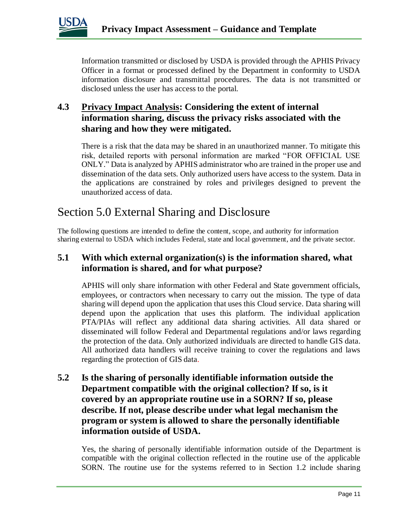

Information transmitted or disclosed by USDA is provided through the APHIS Privacy Officer in a format or processed defined by the Department in conformity to USDA information disclosure and transmittal procedures. The data is not transmitted or disclosed unless the user has access to the portal.

#### **4.3 Privacy Impact Analysis: Considering the extent of internal information sharing, discuss the privacy risks associated with the sharing and how they were mitigated.**

There is a risk that the data may be shared in an unauthorized manner. To mitigate this risk, detailed reports with personal information are marked "FOR OFFICIAL USE ONLY." Data is analyzed by APHIS administrator who are trained in the proper use and dissemination of the data sets. Only authorized users have access to the system. Data in the applications are constrained by roles and privileges designed to prevent the unauthorized access of data.

## Section 5.0 External Sharing and Disclosure

The following questions are intended to define the content, scope, and authority for information sharing external to USDA which includes Federal, state and local government, and the private sector.

#### **5.1 With which external organization(s) is the information shared, what information is shared, and for what purpose?**

APHIS will only share information with other Federal and State government officials, employees, or contractors when necessary to carry out the mission. The type of data sharing will depend upon the application that uses this Cloud service. Data sharing will depend upon the application that uses this platform. The individual application PTA/PIAs will reflect any additional data sharing activities. All data shared or disseminated will follow Federal and Departmental regulations and/or laws regarding the protection of the data. Only authorized individuals are directed to handle GIS data. All authorized data handlers will receive training to cover the regulations and laws regarding the protection of GIS data*.* 

#### **5.2 Is the sharing of personally identifiable information outside the Department compatible with the original collection? If so, is it covered by an appropriate routine use in a SORN? If so, please describe. If not, please describe under what legal mechanism the program or system is allowed to share the personally identifiable information outside of USDA.**

Yes, the sharing of personally identifiable information outside of the Department is compatible with the original collection reflected in the routine use of the applicable SORN. The routine use for the systems referred to in Section 1.2 include sharing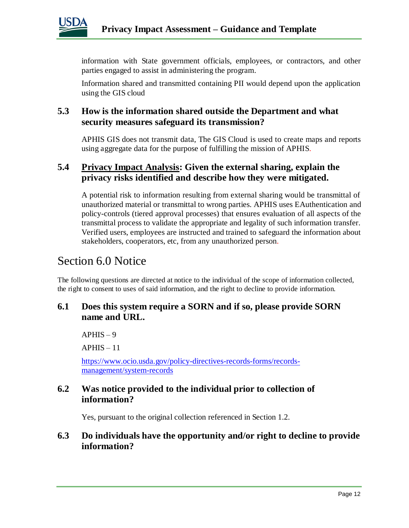

information with State government officials, employees, or contractors, and other parties engaged to assist in administering the program.

Information shared and transmitted containing PII would depend upon the application using the GIS cloud

#### **5.3 How is the information shared outside the Department and what security measures safeguard its transmission?**

APHIS GIS does not transmit data, The GIS Cloud is used to create maps and reports using aggregate data for the purpose of fulfilling the mission of APHIS*.* 

#### **5.4 Privacy Impact Analysis: Given the external sharing, explain the privacy risks identified and describe how they were mitigated.**

A potential risk to information resulting from external sharing would be transmittal of unauthorized material or transmittal to wrong parties. APHIS uses EAuthentication and policy-controls (tiered approval processes) that ensures evaluation of all aspects of the transmittal process to validate the appropriate and legality of such information transfer. Verified users, employees are instructed and trained to safeguard the information about stakeholders, cooperators, etc, from any unauthorized person*.* 

### Section 6.0 Notice

The following questions are directed at notice to the individual of the scope of information collected, the right to consent to uses of said information, and the right to decline to provide information.

#### **6.1 Does this system require a SORN and if so, please provide SORN name and URL.**

 $APHIS - 9$ 

 $APHIS - 11$ 

[https://www.ocio.usda.gov/policy-directives-records-forms/records](https://www.ocio.usda.gov/policy-directives-records-forms/records-management/system-records)[management/system-records](https://www.ocio.usda.gov/policy-directives-records-forms/records-management/system-records)

#### **6.2 Was notice provided to the individual prior to collection of information?**

Yes, pursuant to the original collection referenced in Section 1.2.

#### **6.3 Do individuals have the opportunity and/or right to decline to provide information?**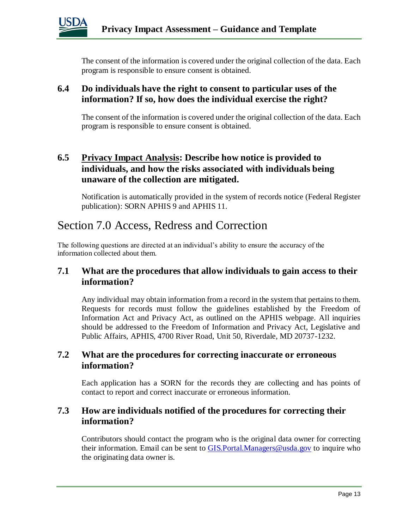

The consent of the information is covered under the original collection of the data. Each program is responsible to ensure consent is obtained.

#### **6.4 Do individuals have the right to consent to particular uses of the information? If so, how does the individual exercise the right?**

The consent of the information is covered under the original collection of the data. Each program is responsible to ensure consent is obtained.

#### **6.5 Privacy Impact Analysis: Describe how notice is provided to individuals, and how the risks associated with individuals being unaware of the collection are mitigated.**

Notification is automatically provided in the system of records notice (Federal Register publication): SORN APHIS 9 and APHIS 11.

## Section 7.0 Access, Redress and Correction

The following questions are directed at an individual's ability to ensure the accuracy of the information collected about them.

#### **7.1 What are the procedures that allow individuals to gain access to their information?**

Any individual may obtain information from a record in the system that pertains to them. Requests for records must follow the guidelines established by the Freedom of Information Act and Privacy Act, as outlined on the APHIS webpage. All inquiries should be addressed to the Freedom of Information and Privacy Act, Legislative and Public Affairs, APHIS, 4700 River Road, Unit 50, Riverdale, MD 20737-1232.

#### **7.2 What are the procedures for correcting inaccurate or erroneous information?**

Each application has a SORN for the records they are collecting and has points of contact to report and correct inaccurate or erroneous information.

#### **7.3 How are individuals notified of the procedures for correcting their information?**

Contributors should contact the program who is the original data owner for correcting their information. Email can be sent to GIS. Portal. Managers@usda.gov to inquire who the originating data owner is.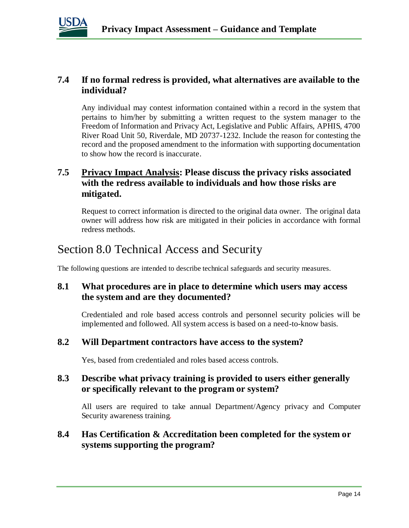

#### **7.4 If no formal redress is provided, what alternatives are available to the individual?**

Any individual may contest information contained within a record in the system that pertains to him/her by submitting a written request to the system manager to the Freedom of Information and Privacy Act, Legislative and Public Affairs, APHIS, 4700 River Road Unit 50, Riverdale, MD 20737-1232. Include the reason for contesting the record and the proposed amendment to the information with supporting documentation to show how the record is inaccurate.

#### **7.5 Privacy Impact Analysis: Please discuss the privacy risks associated with the redress available to individuals and how those risks are mitigated.**

Request to correct information is directed to the original data owner. The original data owner will address how risk are mitigated in their policies in accordance with formal redress methods.

## Section 8.0 Technical Access and Security

The following questions are intended to describe technical safeguards and security measures.

#### **8.1 What procedures are in place to determine which users may access the system and are they documented?**

Credentialed and role based access controls and personnel security policies will be implemented and followed. All system access is based on a need-to-know basis.

#### **8.2 Will Department contractors have access to the system?**

Yes, based from credentialed and roles based access controls.

#### **8.3 Describe what privacy training is provided to users either generally or specifically relevant to the program or system?**

All users are required to take annual Department/Agency privacy and Computer Security awareness training*.* 

#### **8.4 Has Certification & Accreditation been completed for the system or systems supporting the program?**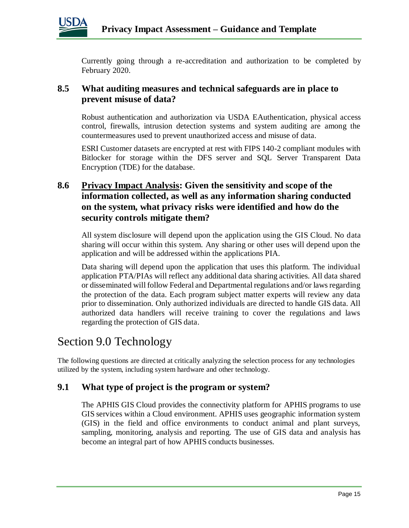

Currently going through a re-accreditation and authorization to be completed by February 2020.

#### **8.5 What auditing measures and technical safeguards are in place to prevent misuse of data?**

Robust authentication and authorization via USDA EAuthentication, physical access control, firewalls, intrusion detection systems and system auditing are among the countermeasures used to prevent unauthorized access and misuse of data.

ESRI Customer datasets are encrypted at rest with FIPS 140-2 compliant modules with Bitlocker for storage within the DFS server and SQL Server Transparent Data Encryption (TDE) for the database.

#### **8.6 Privacy Impact Analysis: Given the sensitivity and scope of the information collected, as well as any information sharing conducted on the system, what privacy risks were identified and how do the security controls mitigate them?**

All system disclosure will depend upon the application using the GIS Cloud. No data sharing will occur within this system. Any sharing or other uses will depend upon the application and will be addressed within the applications PIA.

Data sharing will depend upon the application that uses this platform. The individual application PTA/PIAs will reflect any additional data sharing activities. All data shared or disseminated will follow Federal and Departmental regulations and/or laws regarding the protection of the data. Each program subject matter experts will review any data prior to dissemination. Only authorized individuals are directed to handle GIS data. All authorized data handlers will receive training to cover the regulations and laws regarding the protection of GIS data.

## Section 9.0 Technology

The following questions are directed at critically analyzing the selection process for any technologies utilized by the system, including system hardware and other technology.

#### **9.1 What type of project is the program or system?**

The APHIS GIS Cloud provides the connectivity platform for APHIS programs to use GIS services within a Cloud environment. APHIS uses geographic information system (GIS) in the field and office environments to conduct animal and plant surveys, sampling, monitoring, analysis and reporting. The use of GIS data and analysis has become an integral part of how APHIS conducts businesses.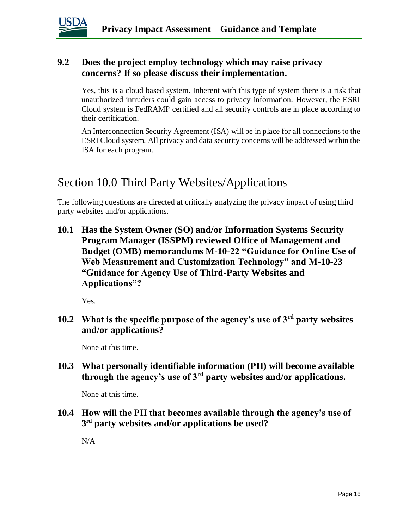

#### **9.2 Does the project employ technology which may raise privacy concerns? If so please discuss their implementation.**

Yes, this is a cloud based system. Inherent with this type of system there is a risk that unauthorized intruders could gain access to privacy information. However, the ESRI Cloud system is FedRAMP certified and all security controls are in place according to their certification.

An Interconnection Security Agreement (ISA) will be in place for all connections to the ESRI Cloud system. All privacy and data security concerns will be addressed within the ISA for each program.

## Section 10.0 Third Party Websites/Applications

The following questions are directed at critically analyzing the privacy impact of using third party websites and/or applications.

**10.1 Has the System Owner (SO) and/or Information Systems Security Program Manager (ISSPM) reviewed Office of Management and Budget (OMB) memorandums M-10-22 "Guidance for Online Use of Web Measurement and Customization Technology" and M-10-23 "Guidance for Agency Use of Third-Party Websites and Applications"?**

Yes.

**10.2 What is the specific purpose of the agency's use of 3rd party websites and/or applications?**

None at this time.

**10.3 What personally identifiable information (PII) will become available through the agency's use of 3rd party websites and/or applications.**

None at this time.

**10.4 How will the PII that becomes available through the agency's use of 3 rd party websites and/or applications be used?**

N/A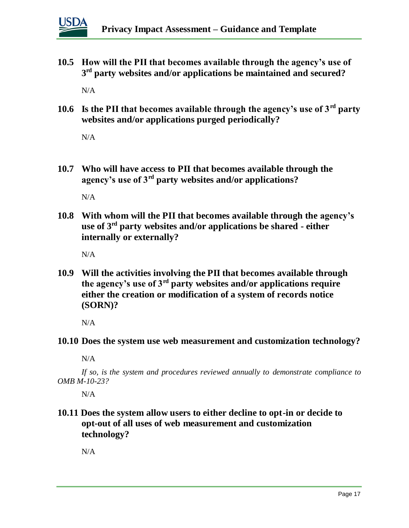

**10.5 How will the PII that becomes available through the agency's use of 3 rd party websites and/or applications be maintained and secured?**

N/A

**10.6 Is the PII that becomes available through the agency's use of 3rd party websites and/or applications purged periodically?** 

 $N/A$ 

**10.7 Who will have access to PII that becomes available through the agency's use of 3rd party websites and/or applications?**

N/A

**10.8 With whom will the PII that becomes available through the agency's use of 3rd party websites and/or applications be shared - either internally or externally?**

 $N/A$ 

**10.9 Will the activities involving the PII that becomes available through the agency's use of 3rd party websites and/or applications require either the creation or modification of a system of records notice (SORN)?**

N/A

**10.10 Does the system use web measurement and customization technology?**

 $N/A$ 

*If so, is the system and procedures reviewed annually to demonstrate compliance to OMB M-10-23?*

N/A

**10.11 Does the system allow users to either decline to opt-in or decide to opt-out of all uses of web measurement and customization technology?**

N/A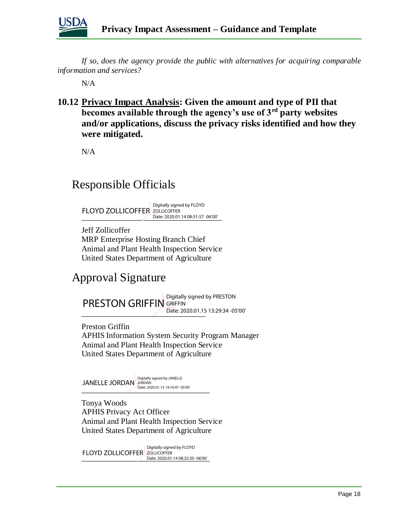

*If so, does the agency provide the public with alternatives for acquiring comparable information and services?*

N/A

**10.12 Privacy Impact Analysis: Given the amount and type of PII that becomes available through the agency's use of 3rd party websites and/or applications, discuss the privacy risks identified and how they were mitigated.** 

N/A

## Responsible Officials

Date: 2020.01.14 08:31:57 -06'00' FLOYD ZOLLICOFFER ZOLLICOFFER Digitally signed by FLOYD

Jeff Zollicoffer MRP Enterprise Hosting Branch Chief Animal and Plant Health Inspection Service United States Department of Agriculture

## Approval Signature

\_\_\_\_\_\_\_\_\_\_\_\_\_\_\_\_\_\_\_\_\_\_\_\_\_\_\_\_\_\_\_ Date: 2020.01.15 13:29:34 -05'00' **PRESTON GRIFFIN GRIFFIN** 

Preston Griffin APHIS Information System Security Program Manager Animal and Plant Health Inspection Service United States Department of Agriculture

 $\bigcup$  Date: 2020.01.15 14:10:47 -05'00' JANELLE JORDAN Digitally signed by JANELLE

Tonya Woods APHIS Privacy Act Officer Animal and Plant Health Inspection Service United States Department of Agriculture

TEO TD EOELICOTTEN ESERCHENTING 2020.01.14 08:32:30 -06'00' FLOYD ZOLLICOFFER ZOLLICOFFER Digitally signed by FLOYD